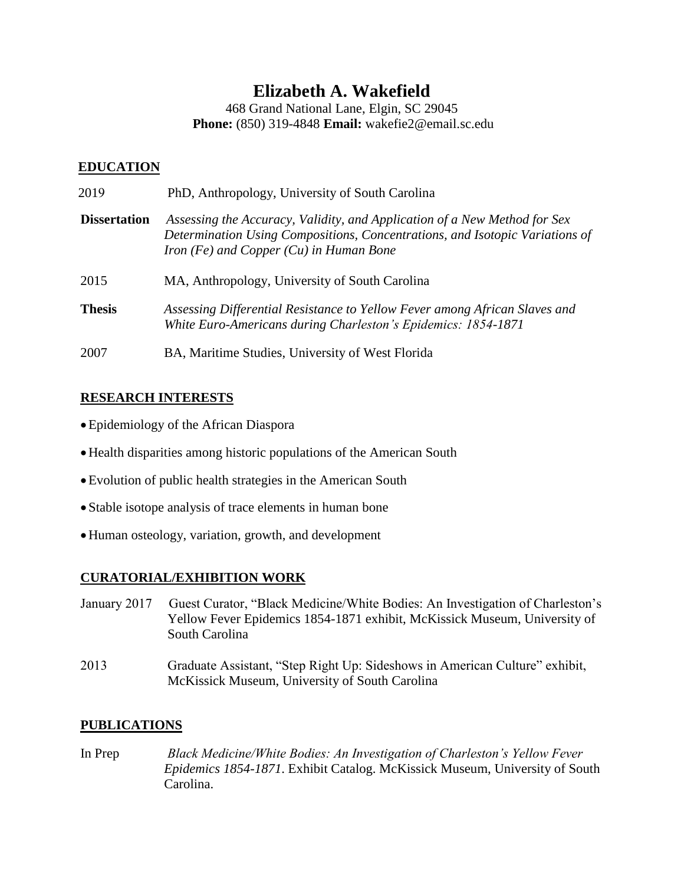# **Elizabeth A. Wakefield**

468 Grand National Lane, Elgin, SC 29045 **Phone:** (850) 319-4848 **Email:** wakefie2@email.sc.edu

## **EDUCATION**

| 2019                | PhD, Anthropology, University of South Carolina                                                                                                                                                        |
|---------------------|--------------------------------------------------------------------------------------------------------------------------------------------------------------------------------------------------------|
| <b>Dissertation</b> | Assessing the Accuracy, Validity, and Application of a New Method for Sex<br>Determination Using Compositions, Concentrations, and Isotopic Variations of<br>Iron (Fe) and Copper $(Cu)$ in Human Bone |
| 2015                | MA, Anthropology, University of South Carolina                                                                                                                                                         |
| <b>Thesis</b>       | Assessing Differential Resistance to Yellow Fever among African Slaves and<br>White Euro-Americans during Charleston's Epidemics: 1854-1871                                                            |
| 2007                | BA, Maritime Studies, University of West Florida                                                                                                                                                       |

## **RESEARCH INTERESTS**

- Epidemiology of the African Diaspora
- Health disparities among historic populations of the American South
- Evolution of public health strategies in the American South
- Stable isotope analysis of trace elements in human bone
- Human osteology, variation, growth, and development

## **CURATORIAL/EXHIBITION WORK**

- January 2017 Guest Curator, "Black Medicine/White Bodies: An Investigation of Charleston's Yellow Fever Epidemics 1854-1871 exhibit, McKissick Museum, University of South Carolina
- 2013 Graduate Assistant, "Step Right Up: Sideshows in American Culture" exhibit, McKissick Museum, University of South Carolina

## **PUBLICATIONS**

In Prep *Black Medicine/White Bodies: An Investigation of Charleston's Yellow Fever Epidemics 1854-1871*. Exhibit Catalog. McKissick Museum, University of South Carolina.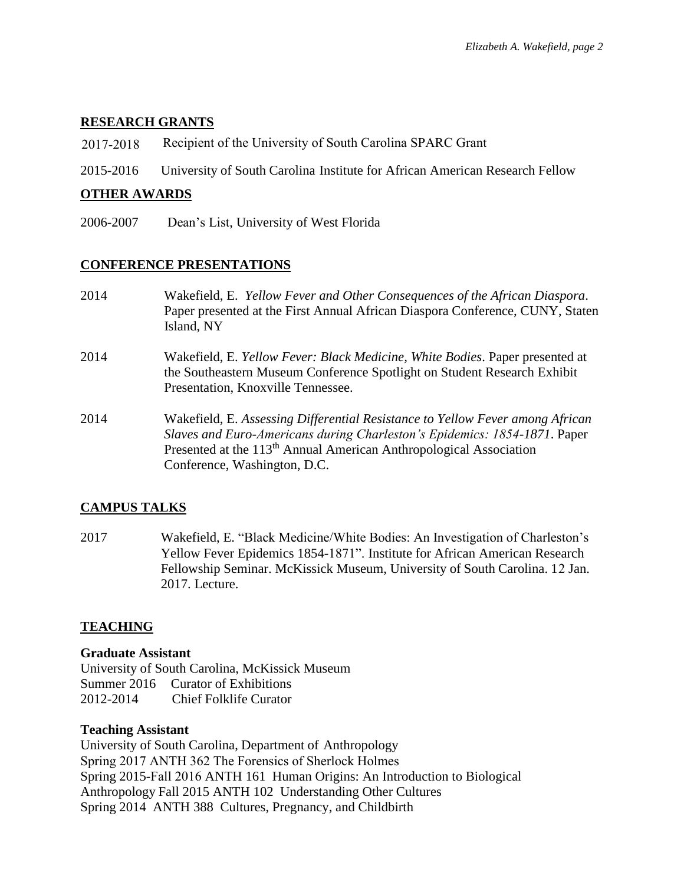### **RESEARCH GRANTS**

- 2017-2018 Recipient of the University of South Carolina SPARC Grant
- 2015-2016 University of South Carolina Institute for African American Research Fellow

#### **OTHER AWARDS**

2006-2007 Dean's List, University of West Florida

#### **CONFERENCE PRESENTATIONS**

- 2014 Wakefield, E. *Yellow Fever and Other Consequences of the African Diaspora*. Paper presented at the First Annual African Diaspora Conference, CUNY, Staten Island, NY
- 2014 Wakefield, E. *Yellow Fever: Black Medicine, White Bodies*. Paper presented at the Southeastern Museum Conference Spotlight on Student Research Exhibit Presentation, Knoxville Tennessee.
- 2014 Wakefield, E. *Assessing Differential Resistance to Yellow Fever among African Slaves and Euro-Americans during Charleston's Epidemics: 1854-1871*. Paper Presented at the 113<sup>th</sup> Annual American Anthropological Association Conference, Washington, D.C.

#### **CAMPUS TALKS**

2017 Wakefield, E. "Black Medicine/White Bodies: An Investigation of Charleston's Yellow Fever Epidemics 1854-1871". Institute for African American Research Fellowship Seminar. McKissick Museum, University of South Carolina. 12 Jan. 2017. Lecture.

#### **TEACHING**

#### **Graduate Assistant**

University of South Carolina, McKissick Museum Summer 2016 Curator of Exhibitions 2012-2014 Chief Folklife Curator

#### **Teaching Assistant**

University of South Carolina, Department of Anthropology Spring 2017 ANTH 362 The Forensics of Sherlock Holmes Spring 2015-Fall 2016 ANTH 161 Human Origins: An Introduction to Biological Anthropology Fall 2015 ANTH 102 Understanding Other Cultures Spring 2014 ANTH 388 Cultures, Pregnancy, and Childbirth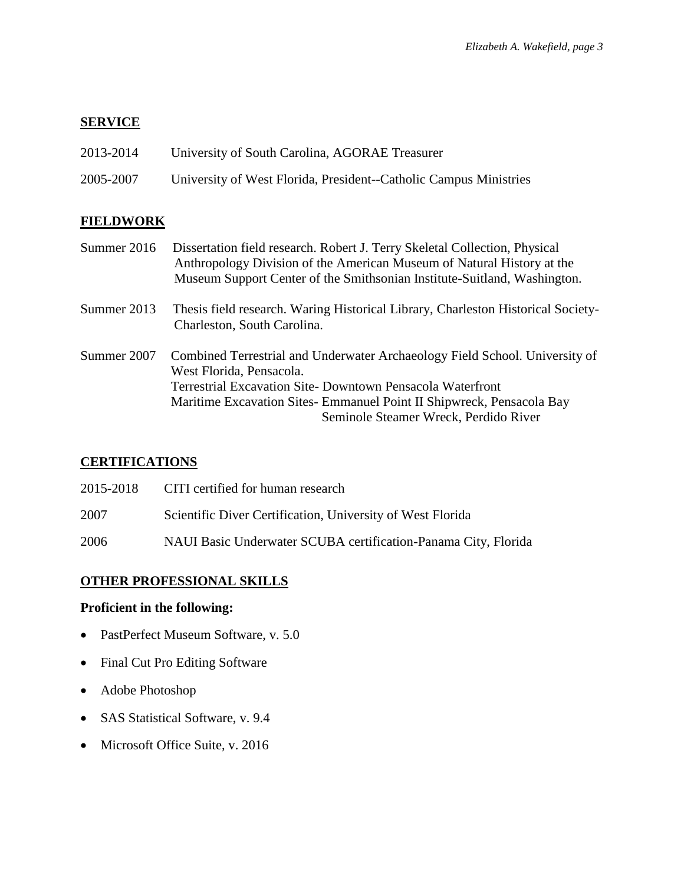# **SERVICE**

| 2013-2014 | University of South Carolina, AGORAE Treasurer                    |
|-----------|-------------------------------------------------------------------|
| 2005-2007 | University of West Florida, President--Catholic Campus Ministries |

# **FIELDWORK**

| Summer 2016 | Dissertation field research. Robert J. Terry Skeletal Collection, Physical<br>Anthropology Division of the American Museum of Natural History at the<br>Museum Support Center of the Smithsonian Institute-Suitland, Washington.                                                       |
|-------------|----------------------------------------------------------------------------------------------------------------------------------------------------------------------------------------------------------------------------------------------------------------------------------------|
| Summer 2013 | Thesis field research. Waring Historical Library, Charleston Historical Society-<br>Charleston, South Carolina.                                                                                                                                                                        |
| Summer 2007 | Combined Terrestrial and Underwater Archaeology Field School. University of<br>West Florida, Pensacola.<br>Terrestrial Excavation Site-Downtown Pensacola Waterfront<br>Maritime Excavation Sites- Emmanuel Point II Shipwreck, Pensacola Bay<br>Seminole Steamer Wreck, Perdido River |

# **CERTIFICATIONS**

| 2015-2018 | CITI certified for human research                              |
|-----------|----------------------------------------------------------------|
| 2007      | Scientific Diver Certification, University of West Florida     |
| 2006      | NAUI Basic Underwater SCUBA certification-Panama City, Florida |

# **OTHER PROFESSIONAL SKILLS**

## **Proficient in the following:**

- PastPerfect Museum Software, v. 5.0
- Final Cut Pro Editing Software
- Adobe Photoshop
- SAS Statistical Software, v. 9.4
- Microsoft Office Suite, v. 2016